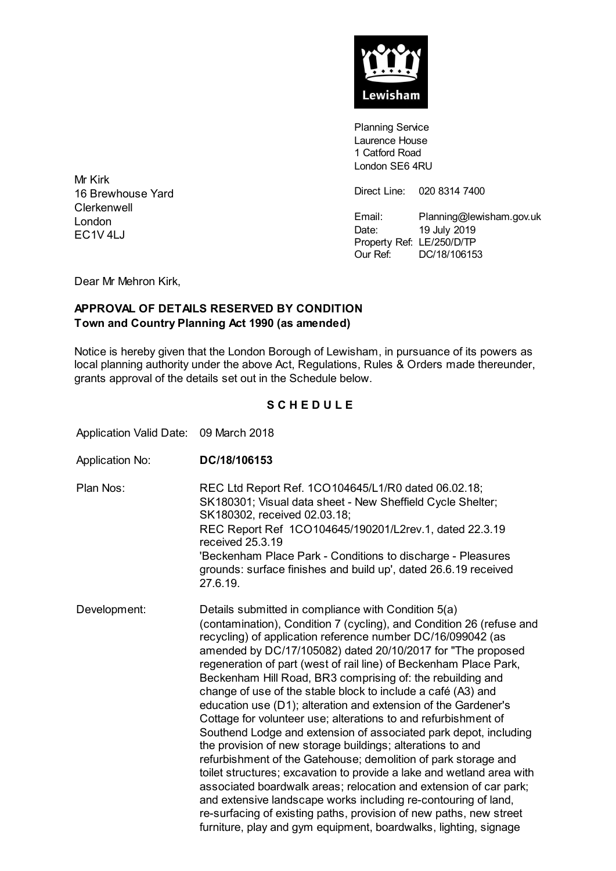

**Planning Service** Laurence House 1 Catford Road London SE6 4RU

Direct Line: 020 8314 7400

Email: Planning@lewisham.gov.uk Date: 19 July 2019 Property Ref: LE/250/D/TP Our Ref: DC/18/106153

Mr Kirk 16 Brewhouse Yard **Clerkenwell** London EC1V 4LJ

Dear Mr Mehron Kirk,

## **APPROVAL OF DETAILS RESERVED BY CONDITION Town and Country Planning Act 1990 (as amended)**

Notice is hereby given that the London Borough of Lewisham, in pursuance of its powers as local planning authority under the above Act, Regulations, Rules & Orders made thereunder, grants approval of the details set out in the Schedule below.

## **S C H E D U L E**

Application Valid Date: 09 March 2018

Application No: **DC/18/106153** Plan Nos: REC Ltd Report Ref. 1CO104645/L1/R0 dated 06.02.18; SK180301; Visual data sheet - New Sheffield Cycle Shelter; SK180302, received 02.03.18; REC Report Ref 1CO104645/190201/L2rev.1, dated 22.3.19 received 25.3.19 'Beckenham Place Park - Conditions to discharge - Pleasures grounds: surface finishes and build up', dated 26.6.19 received 27.6.19. Development: Details submitted in compliance with Condition 5(a) (contamination), Condition 7 (cycling), and Condition 26 (refuse and recycling) of application reference number DC/16/099042 (as amended by DC/17/105082) dated 20/10/2017 for "The proposed regeneration of part (west of rail line) of Beckenham Place Park, Beckenham Hill Road, BR3 comprising of: the rebuilding and change of use of the stable block to include a café (A3) and education use (D1); alteration and extension of the Gardener's Cottage for volunteer use; alterations to and refurbishment of Southend Lodge and extension of associated park depot, including the provision of new storage buildings; alterations to and refurbishment of the Gatehouse; demolition of park storage and toilet structures; excavation to provide a lake and wetland area with associated boardwalk areas; relocation and extension of car park; and extensive landscape works including re-contouring of land, re-surfacing of existing paths, provision of new paths, new street furniture, play and gym equipment, boardwalks, lighting, signage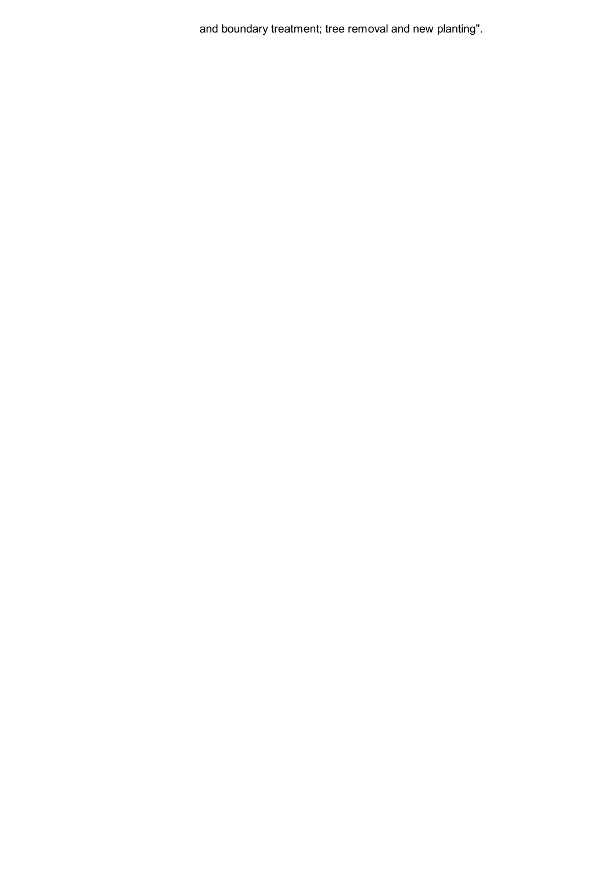and boundary treatment; tree removal and new planting".